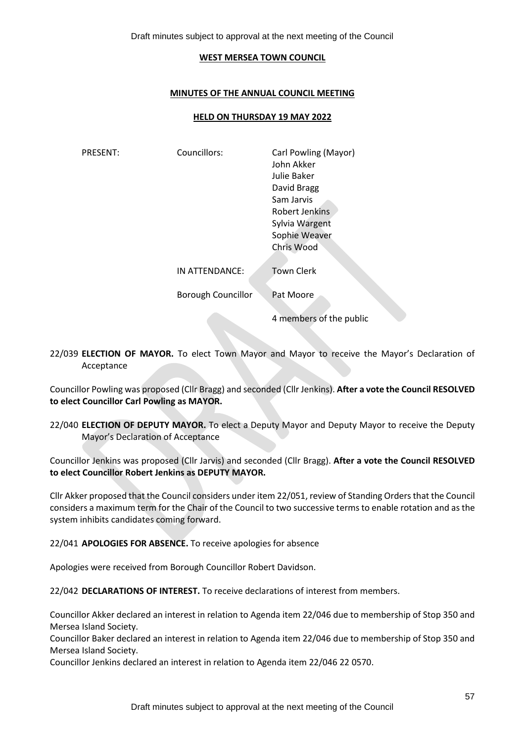Draft minutes subject to approval at the next meeting of the Council

#### **WEST MERSEA TOWN COUNCIL**

### **MINUTES OF THE ANNUAL COUNCIL MEETING**

#### **HELD ON THURSDAY 19 MAY 2022**

| <b>PRESENT:</b> | Councillors:              | Carl Powling (Mayor)<br>John Akker<br>Julie Baker<br>David Bragg<br>Sam Jarvis<br>Robert Jenkins<br>Sylvia Wargent<br>Sophie Weaver<br>Chris Wood |
|-----------------|---------------------------|---------------------------------------------------------------------------------------------------------------------------------------------------|
|                 | IN ATTENDANCE:            | <b>Town Clerk</b>                                                                                                                                 |
|                 | <b>Borough Councillor</b> | Pat Moore                                                                                                                                         |
|                 |                           | 4 members of the public                                                                                                                           |

22/039 **ELECTION OF MAYOR.** To elect Town Mayor and Mayor to receive the Mayor's Declaration of Acceptance

Councillor Powling was proposed (Cllr Bragg) and seconded (Cllr Jenkins). **After a vote the Council RESOLVED to elect Councillor Carl Powling as MAYOR.** 

22/040 **ELECTION OF DEPUTY MAYOR.** To elect a Deputy Mayor and Deputy Mayor to receive the Deputy Mayor's Declaration of Acceptance

Councillor Jenkins was proposed (Cllr Jarvis) and seconded (Cllr Bragg). **After a vote the Council RESOLVED to elect Councillor Robert Jenkins as DEPUTY MAYOR.** 

Cllr Akker proposed that the Council considers under item 22/051, review of Standing Orders that the Council considers a maximum term for the Chair of the Council to two successive terms to enable rotation and as the system inhibits candidates coming forward.

22/041 **APOLOGIES FOR ABSENCE.** To receive apologies for absence

Apologies were received from Borough Councillor Robert Davidson.

22/042 **DECLARATIONS OF INTEREST.** To receive declarations of interest from members.

Councillor Akker declared an interest in relation to Agenda item 22/046 due to membership of Stop 350 and Mersea Island Society.

Councillor Baker declared an interest in relation to Agenda item 22/046 due to membership of Stop 350 and Mersea Island Society.

Councillor Jenkins declared an interest in relation to Agenda item 22/046 22 0570.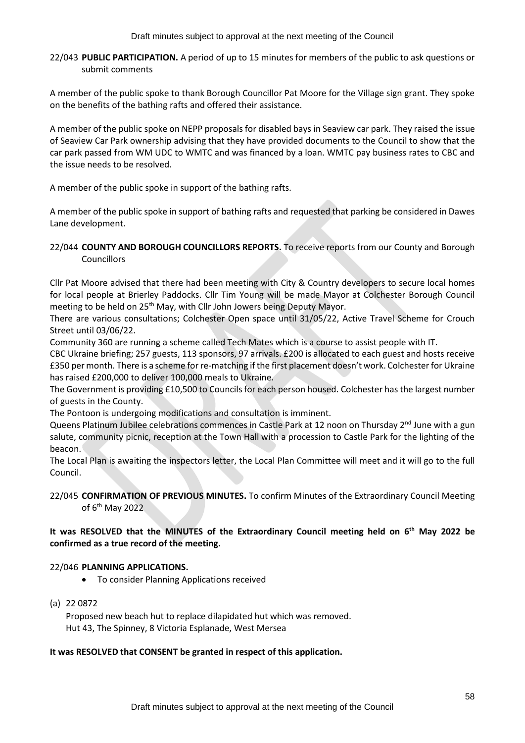Draft minutes subject to approval at the next meeting of the Council

22/043 **PUBLIC PARTICIPATION.** A period of up to 15 minutes for members of the public to ask questions or submit comments

A member of the public spoke to thank Borough Councillor Pat Moore for the Village sign grant. They spoke on the benefits of the bathing rafts and offered their assistance.

A member of the public spoke on NEPP proposals for disabled bays in Seaview car park. They raised the issue of Seaview Car Park ownership advising that they have provided documents to the Council to show that the car park passed from WM UDC to WMTC and was financed by a loan. WMTC pay business rates to CBC and the issue needs to be resolved.

A member of the public spoke in support of the bathing rafts.

A member of the public spoke in support of bathing rafts and requested that parking be considered in Dawes Lane development.

# 22/044 **COUNTY AND BOROUGH COUNCILLORS REPORTS.** To receive reports from our County and Borough Councillors

Cllr Pat Moore advised that there had been meeting with City & Country developers to secure local homes for local people at Brierley Paddocks. Cllr Tim Young will be made Mayor at Colchester Borough Council meeting to be held on 25<sup>th</sup> May, with Cllr John Jowers being Deputy Mayor.

There are various consultations; Colchester Open space until 31/05/22, Active Travel Scheme for Crouch Street until 03/06/22.

Community 360 are running a scheme called Tech Mates which is a course to assist people with IT.

CBC Ukraine briefing; 257 guests, 113 sponsors, 97 arrivals. £200 is allocated to each guest and hosts receive £350 per month. There is a scheme for re-matching if the first placement doesn't work. Colchester for Ukraine has raised £200,000 to deliver 100,000 meals to Ukraine.

The Government is providing £10,500 to Councils for each person housed. Colchester has the largest number of guests in the County.

The Pontoon is undergoing modifications and consultation is imminent.

Queens Platinum Jubilee celebrations commences in Castle Park at 12 noon on Thursday 2<sup>nd</sup> June with a gun salute, community picnic, reception at the Town Hall with a procession to Castle Park for the lighting of the beacon.

The Local Plan is awaiting the inspectors letter, the Local Plan Committee will meet and it will go to the full Council.

# 22/045 **CONFIRMATION OF PREVIOUS MINUTES.** To confirm Minutes of the Extraordinary Council Meeting of 6th May 2022

# **It was RESOLVED that the MINUTES of the Extraordinary Council meeting held on 6 th May 2022 be confirmed as a true record of the meeting.**

# 22/046 **PLANNING APPLICATIONS.**

- To consider Planning Applications received
- (a) 22 0872

Proposed new beach hut to replace dilapidated hut which was removed. Hut 43, The Spinney, 8 Victoria Esplanade, West Mersea

## **It was RESOLVED that CONSENT be granted in respect of this application.**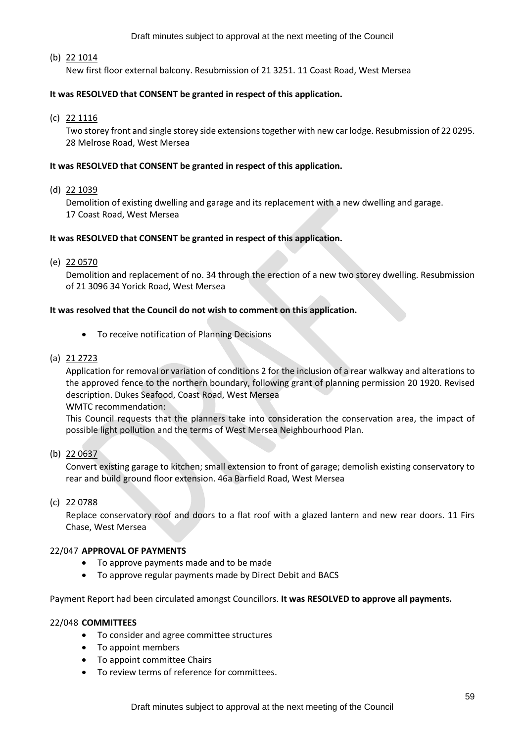Draft minutes subject to approval at the next meeting of the Council

## (b) 22 1014

New first floor external balcony. Resubmission of 21 3251. 11 Coast Road, West Mersea

## **It was RESOLVED that CONSENT be granted in respect of this application.**

(c) 22 1116

Two storey front and single storey side extensions together with new car lodge. Resubmission of 22 0295. 28 Melrose Road, West Mersea

### **It was RESOLVED that CONSENT be granted in respect of this application.**

(d) 22 1039

Demolition of existing dwelling and garage and its replacement with a new dwelling and garage. 17 Coast Road, West Mersea

### **It was RESOLVED that CONSENT be granted in respect of this application.**

(e) 22 0570

Demolition and replacement of no. 34 through the erection of a new two storey dwelling. Resubmission of 21 3096 34 Yorick Road, West Mersea

### **It was resolved that the Council do not wish to comment on this application.**

- To receive notification of Planning Decisions
- (a) 21 2723

Application for removal or variation of conditions 2 for the inclusion of a rear walkway and alterations to the approved fence to the northern boundary, following grant of planning permission 20 1920. Revised description. Dukes Seafood, Coast Road, West Mersea

WMTC recommendation:

This Council requests that the planners take into consideration the conservation area, the impact of possible light pollution and the terms of West Mersea Neighbourhood Plan.

(b) 22 0637

Convert existing garage to kitchen; small extension to front of garage; demolish existing conservatory to rear and build ground floor extension. 46a Barfield Road, West Mersea

#### (c) 22 0788

Replace conservatory roof and doors to a flat roof with a glazed lantern and new rear doors. 11 Firs Chase, West Mersea

#### 22/047 **APPROVAL OF PAYMENTS**

- To approve payments made and to be made
- To approve regular payments made by Direct Debit and BACS

Payment Report had been circulated amongst Councillors. **It was RESOLVED to approve all payments.**

## 22/048 **COMMITTEES**

- To consider and agree committee structures
- To appoint members
- To appoint committee Chairs
- To review terms of reference for committees.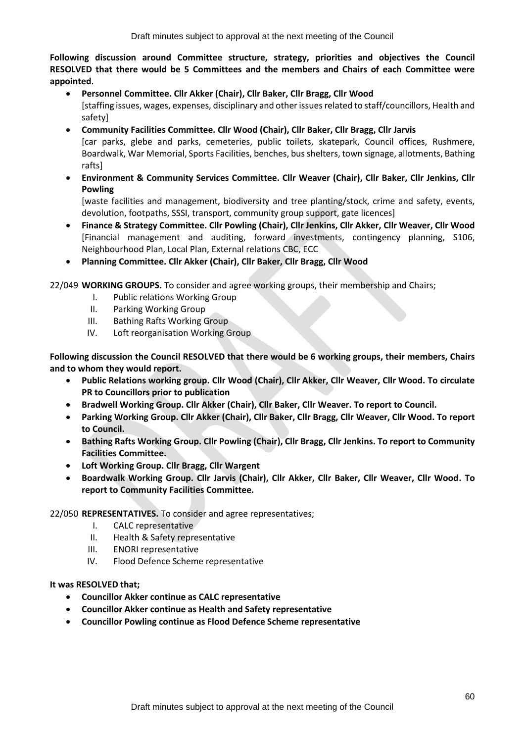**Following discussion around Committee structure, strategy, priorities and objectives the Council RESOLVED that there would be 5 Committees and the members and Chairs of each Committee were appointed**.

- **Personnel Committee. Cllr Akker (Chair), Cllr Baker, Cllr Bragg, Cllr Wood** [staffing issues, wages, expenses, disciplinary and other issues related to staff/councillors, Health and safety]
- **Community Facilities Committee. Cllr Wood (Chair), Cllr Baker, Cllr Bragg, Cllr Jarvis** [car parks, glebe and parks, cemeteries, public toilets, skatepark, Council offices, Rushmere, Boardwalk, War Memorial, Sports Facilities, benches, bus shelters, town signage, allotments, Bathing rafts]
- **Environment & Community Services Committee. Cllr Weaver (Chair), Cllr Baker, Cllr Jenkins, Cllr Powling**

[waste facilities and management, biodiversity and tree planting/stock, crime and safety, events, devolution, footpaths, SSSI, transport, community group support, gate licences]

- **Finance & Strategy Committee. Cllr Powling (Chair), Cllr Jenkins, Cllr Akker, Cllr Weaver, Cllr Wood** [Financial management and auditing, forward investments, contingency planning, S106, Neighbourhood Plan, Local Plan, External relations CBC, ECC
- **Planning Committee. Cllr Akker (Chair), Cllr Baker, Cllr Bragg, Cllr Wood**

22/049 **WORKING GROUPS.** To consider and agree working groups, their membership and Chairs;

- I. Public relations Working Group
- II. Parking Working Group
- III. Bathing Rafts Working Group
- IV. Loft reorganisation Working Group

**Following discussion the Council RESOLVED that there would be 6 working groups, their members, Chairs and to whom they would report.** 

- **Public Relations working group. Cllr Wood (Chair), Cllr Akker, Cllr Weaver, Cllr Wood. To circulate PR to Councillors prior to publication**
- **Bradwell Working Group. Cllr Akker (Chair), Cllr Baker, Cllr Weaver. To report to Council.**
- **Parking Working Group. Cllr Akker (Chair), Cllr Baker, Cllr Bragg, Cllr Weaver, Cllr Wood. To report to Council.**
- **Bathing Rafts Working Group. Cllr Powling (Chair), Cllr Bragg, Cllr Jenkins. To report to Community Facilities Committee.**
- **Loft Working Group. Cllr Bragg, Cllr Wargent**
- **Boardwalk Working Group. Cllr Jarvis (Chair), Cllr Akker, Cllr Baker, Cllr Weaver, Cllr Wood. To report to Community Facilities Committee.**

# 22/050 **REPRESENTATIVES.** To consider and agree representatives;

- I. CALC representative
- II. Health & Safety representative
- III. ENORI representative
- IV. Flood Defence Scheme representative

# **It was RESOLVED that;**

- **Councillor Akker continue as CALC representative**
- **Councillor Akker continue as Health and Safety representative**
- **Councillor Powling continue as Flood Defence Scheme representative**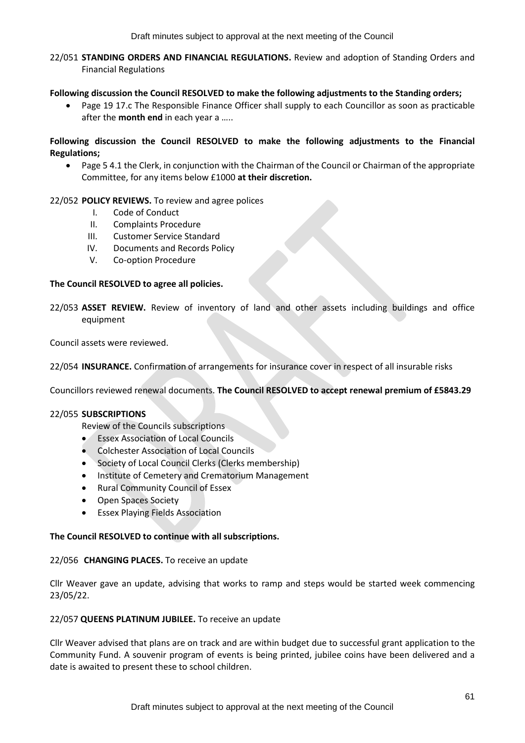22/051 **STANDING ORDERS AND FINANCIAL REGULATIONS.** Review and adoption of Standing Orders and Financial Regulations

### **Following discussion the Council RESOLVED to make the following adjustments to the Standing orders;**

• Page 19 17.c The Responsible Finance Officer shall supply to each Councillor as soon as practicable after the **month end** in each year a …..

## **Following discussion the Council RESOLVED to make the following adjustments to the Financial Regulations;**

• Page 5 4.1 the Clerk, in conjunction with the Chairman of the Council or Chairman of the appropriate Committee, for any items below £1000 **at their discretion.** 

## 22/052 **POLICY REVIEWS.** To review and agree polices

- I. Code of Conduct
- II. Complaints Procedure
- III. Customer Service Standard
- IV. Documents and Records Policy
- V. Co-option Procedure

## **The Council RESOLVED to agree all policies.**

22/053 **ASSET REVIEW.** Review of inventory of land and other assets including buildings and office equipment

Council assets were reviewed.

22/054 **INSURANCE.** Confirmation of arrangements for insurance cover in respect of all insurable risks

Councillors reviewed renewal documents. **The Council RESOLVED to accept renewal premium of £5843.29**

## 22/055 **SUBSCRIPTIONS**

Review of the Councils subscriptions

- **Essex Association of Local Councils**
- Colchester Association of Local Councils
- Society of Local Council Clerks (Clerks membership)
- Institute of Cemetery and Crematorium Management
- Rural Community Council of Essex
- Open Spaces Society
- Essex Playing Fields Association

## **The Council RESOLVED to continue with all subscriptions.**

#### 22/056 **CHANGING PLACES.** To receive an update

Cllr Weaver gave an update, advising that works to ramp and steps would be started week commencing 23/05/22.

#### 22/057 **QUEENS PLATINUM JUBILEE.** To receive an update

Cllr Weaver advised that plans are on track and are within budget due to successful grant application to the Community Fund. A souvenir program of events is being printed, jubilee coins have been delivered and a date is awaited to present these to school children.